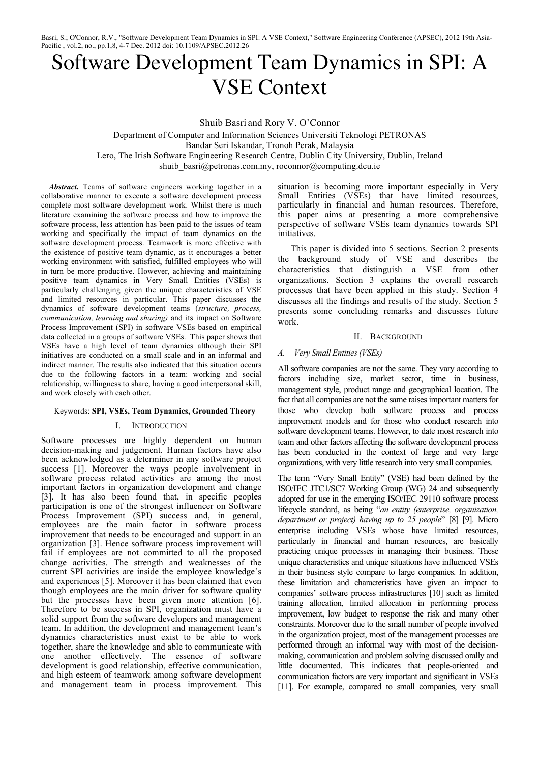# Software Development Team Dynamics in SPI: A VSE Context

Shuib Basri and Rory V. O'Connor

Department of Computer and Information Sciences Universiti Teknologi PETRONAS Bandar Seri Iskandar, Tronoh Perak, Malaysia Lero, The Irish Software Engineering Research Centre, Dublin City University, Dublin, Ireland

shuib\_basri@petronas.com.my, roconnor@computing.dcu.ie

*Abstract.* Teams of software engineers working together in a collaborative manner to execute a software development process complete most software development work. Whilst there is much literature examining the software process and how to improve the software process, less attention has been paid to the issues of team working and specifically the impact of team dynamics on the software development process. Teamwork is more effective with the existence of positive team dynamic, as it encourages a better working environment with satisfied, fulfilled employees who will in turn be more productive. However, achieving and maintaining positive team dynamics in Very Small Entities (VSEs) is particularly challenging given the unique characteristics of VSE and limited resources in particular. This paper discusses the dynamics of software development teams (*structure, process, communication, learning and sharing)* and its impact on Software Process Improvement (SPI) in software VSEs based on empirical data collected in a groups of software VSEs. This paper shows that VSEs have a high level of team dynamics although their SPI initiatives are conducted on a small scale and in an informal and indirect manner. The results also indicated that this situation occurs due to the following factors in a team: working and social relationship, willingness to share, having a good interpersonal skill, and work closely with each other.

## Keywords: **SPI, VSEs, Team Dynamics, Grounded Theory**

## I. INTRODUCTION

Software processes are highly dependent on human decision-making and judgement. Human factors have also been acknowledged as a determiner in any software project success [1]. Moreover the ways people involvement in software process related activities are among the most important factors in organization development and change [3]. It has also been found that, in specific peoples participation is one of the strongest influencer on Software Process Improvement (SPI) success and, in general, employees are the main factor in software process improvement that needs to be encouraged and support in an organization [3]. Hence software process improvement will fail if employees are not committed to all the proposed change activities. The strength and weaknesses of the current SPI activities are inside the employee knowledge's and experiences [5]. Moreover it has been claimed that even though employees are the main driver for software quality but the processes have been given more attention [6]. Therefore to be success in SPI, organization must have a solid support from the software developers and management team. In addition, the development and management team's dynamics characteristics must exist to be able to work together, share the knowledge and able to communicate with one another effectively. The essence of software development is good relationship, effective communication, and high esteem of teamwork among software development and management team in process improvement. This

situation is becoming more important especially in Very Small Entities (VSEs) that have limited resources, particularly in financial and human resources. Therefore, this paper aims at presenting a more comprehensive perspective of software VSEs team dynamics towards SPI initiatives.

This paper is divided into 5 sections. Section 2 presents the background study of VSE and describes the characteristics that distinguish a VSE from other organizations. Section 3 explains the overall research processes that have been applied in this study. Section 4 discusses all the findings and results of the study. Section 5 presents some concluding remarks and discusses future work.

## II. BACKGROUND

## *A. Very Small Entities (VSEs)*

All software companies are not the same. They vary according to factors including size, market sector, time in business, management style, product range and geographical location. The fact that all companies are not the same raises important matters for those who develop both software process and process improvement models and for those who conduct research into software development teams. However, to date most research into team and other factors affecting the software development process has been conducted in the context of large and very large organizations, with very little research into very small companies.

The term "Very Small Entity" (VSE) had been defined by the ISO/IEC JTC1/SC7 Working Group (WG) 24 and subsequently adopted for use in the emerging ISO/IEC 29110 software process lifecycle standard, as being "*an entity (enterprise, organization, department or project) having up to 25 people*" [8] [9]. Micro enterprise including VSEs whose have limited resources, particularly in financial and human resources, are basically practicing unique processes in managing their business. These unique characteristics and unique situations have influenced VSEs in their business style compare to large companies. In addition, these limitation and characteristics have given an impact to companies' software process infrastructures [10] such as limited training allocation, limited allocation in performing process improvement, low budget to response the risk and many other constraints. Moreover due to the small number of people involved in the organization project, most of the management processes are performed through an informal way with most of the decisionmaking, communication and problem solving discussed orally and little documented. This indicates that people-oriented and communication factors are very important and significant in VSEs [11]. For example, compared to small companies, very small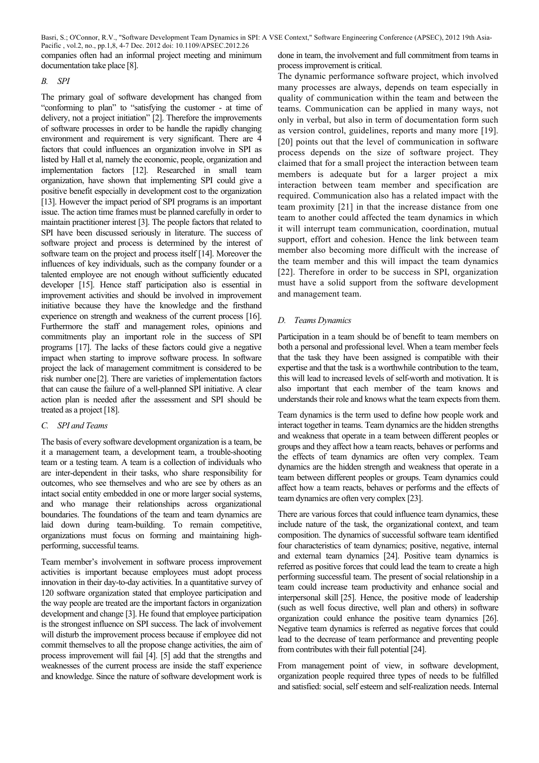Basri, S.; O'Connor, R.V., "Software Development Team Dynamics in SPI: A VSE Context," Software Engineering Conference (APSEC), 2012 19th Asia-

Pacific , vol.2, no., pp.1,8, 4-7 Dec. 2012 doi: 10.1109/APSEC.2012.26 companies often had an informal project meeting and minimum documentation take place [8].

done in team, the involvement and full commitment from teams in process improvement is critical.

## *B. SPI*

The primary goal of software development has changed from "conforming to plan" to "satisfying the customer - at time of delivery, not a project initiation" [2]. Therefore the improvements of software processes in order to be handle the rapidly changing environment and requirement is very significant. There are 4 factors that could influences an organization involve in SPI as listed by Hall et al, namely the economic, people, organization and implementation factors [12]. Researched in small team organization, have shown that implementing SPI could give a positive benefit especially in development cost to the organization [13]. However the impact period of SPI programs is an important issue. The action time frames must be planned carefully in order to maintain practitioner interest [3]. The people factors that related to SPI have been discussed seriously in literature. The success of software project and process is determined by the interest of software team on the project and process itself [14]. Moreover the influences of key individuals, such as the company founder or a talented employee are not enough without sufficiently educated developer [15]. Hence staff participation also is essential in improvement activities and should be involved in improvement initiative because they have the knowledge and the firsthand experience on strength and weakness of the current process [16]. Furthermore the staff and management roles, opinions and commitments play an important role in the success of SPI programs [17]. The lacks of these factors could give a negative impact when starting to improve software process. In software project the lack of management commitment is considered to be risk number one[2]. There are varieties of implementation factors that can cause the failure of a well-planned SPI initiative. A clear action plan is needed after the assessment and SPI should be treated as a project [18].

## *C. SPI and Teams*

The basis of every software development organization is a team, be it a management team, a development team, a trouble-shooting team or a testing team. A team is a collection of individuals who are inter-dependent in their tasks, who share responsibility for outcomes, who see themselves and who are see by others as an intact social entity embedded in one or more larger social systems, and who manage their relationships across organizational boundaries. The foundations of the team and team dynamics are laid down during team-building. To remain competitive, organizations must focus on forming and maintaining highperforming, successful teams.

Team member's involvement in software process improvement activities is important because employees must adopt process innovation in their day-to-day activities. In a quantitative survey of 120 software organization stated that employee participation and the way people are treated are the important factors in organization development and change [3]. He found that employee participation is the strongest influence on SPI success. The lack of involvement will disturb the improvement process because if employee did not commit themselves to all the propose change activities, the aim of process improvement will fail [4]. [5] add that the strengths and weaknesses of the current process are inside the staff experience and knowledge. Since the nature of software development work is

The dynamic performance software project, which involved many processes are always, depends on team especially in quality of communication within the team and between the teams. Communication can be applied in many ways, not only in verbal, but also in term of documentation form such as version control, guidelines, reports and many more [19]. [20] points out that the level of communication in software process depends on the size of software project. They claimed that for a small project the interaction between team members is adequate but for a larger project a mix interaction between team member and specification are required. Communication also has a related impact with the team proximity [21] in that the increase distance from one team to another could affected the team dynamics in which it will interrupt team communication, coordination, mutual support, effort and cohesion. Hence the link between team member also becoming more difficult with the increase of the team member and this will impact the team dynamics [22]. Therefore in order to be success in SPI, organization must have a solid support from the software development and management team.

## *D. Teams Dynamics*

Participation in a team should be of benefit to team members on both a personal and professional level. When a team member feels that the task they have been assigned is compatible with their expertise and that the task is a worthwhile contribution to the team, this will lead to increased levels of self-worth and motivation. It is also important that each member of the team knows and understands their role and knows what the team expects from them.

Team dynamics is the term used to define how people work and interact together in teams. Team dynamics are the hidden strengths and weakness that operate in a team between different peoples or groups and they affect how a team reacts, behaves or performs and the effects of team dynamics are often very complex. Team dynamics are the hidden strength and weakness that operate in a team between different peoples or groups. Team dynamics could affect how a team reacts, behaves or performs and the effects of team dynamics are often very complex [23].

There are various forces that could influence team dynamics, these include nature of the task, the organizational context, and team composition. The dynamics of successful software team identified four characteristics of team dynamics; positive, negative, internal and external team dynamics [24]. Positive team dynamics is referred as positive forces that could lead the team to create a high performing successful team. The present of social relationship in a team could increase team productivity and enhance social and interpersonal skill [25]. Hence, the positive mode of leadership (such as well focus directive, well plan and others) in software organization could enhance the positive team dynamics [26]. Negative team dynamics is referred as negative forces that could lead to the decrease of team performance and preventing people from contributes with their full potential [24].

From management point of view, in software development, organization people required three types of needs to be fulfilled and satisfied: social, self esteem and self-realization needs. Internal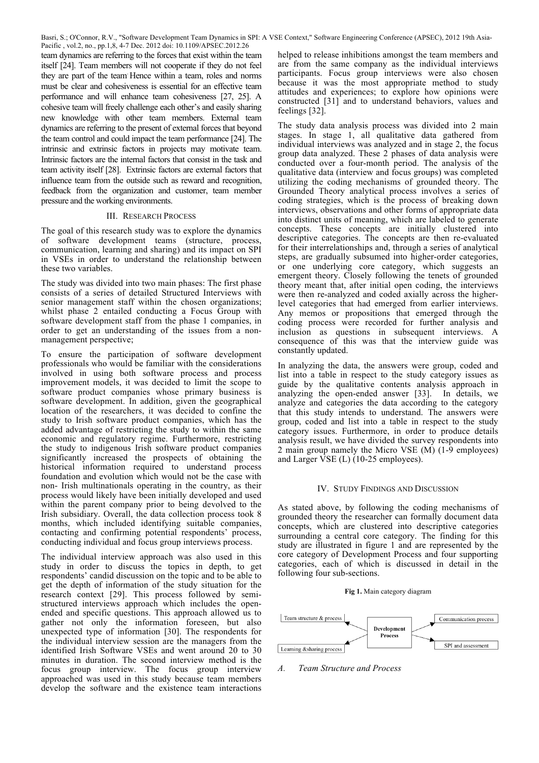team dynamics are referring to the forces that exist within the team itself [24]. Team members will not cooperate if they do not feel they are part of the team Hence within a team, roles and norms must be clear and cohesiveness is essential for an effective team performance and will enhance team cohesiveness [27, 25]. A cohesive team will freely challenge each other's and easily sharing new knowledge with other team members. External team dynamics are referring to the present of external forces that beyond the team control and could impact the team performance [24]. The intrinsic and extrinsic factors in projects may motivate team. Intrinsic factors are the internal factors that consist in the task and team activity itself [28]. Extrinsic factors are external factors that influence team from the outside such as reward and recognition, feedback from the organization and customer, team member pressure and the working environments.

## III. RESEARCH PROCESS

The goal of this research study was to explore the dynamics of software development teams (structure, process, communication, learning and sharing) and its impact on SPI in VSEs in order to understand the relationship between these two variables.

The study was divided into two main phases: The first phase consists of a series of detailed Structured Interviews with senior management staff within the chosen organizations; whilst phase 2 entailed conducting a Focus Group with software development staff from the phase 1 companies, in order to get an understanding of the issues from a nonmanagement perspective;

To ensure the participation of software development professionals who would be familiar with the considerations involved in using both software process and process improvement models, it was decided to limit the scope to software product companies whose primary business is software development. In addition, given the geographical location of the researchers, it was decided to confine the study to Irish software product companies, which has the added advantage of restricting the study to within the same economic and regulatory regime. Furthermore, restricting the study to indigenous Irish software product companies significantly increased the prospects of obtaining the historical information required to understand process foundation and evolution which would not be the case with non- Irish multinationals operating in the country, as their process would likely have been initially developed and used within the parent company prior to being devolved to the Irish subsidiary. Overall, the data collection process took 8 months, which included identifying suitable companies, contacting and confirming potential respondents' process, conducting individual and focus group interviews process.

The individual interview approach was also used in this study in order to discuss the topics in depth, to get respondents' candid discussion on the topic and to be able to get the depth of information of the study situation for the research context [29]. This process followed by semistructured interviews approach which includes the openended and specific questions. This approach allowed us to gather not only the information foreseen, but also unexpected type of information [30]. The respondents for the individual interview session are the managers from the identified Irish Software VSEs and went around 20 to 30 minutes in duration. The second interview method is the focus group interview. The focus group interview approached was used in this study because team members develop the software and the existence team interactions

helped to release inhibitions amongst the team members and are from the same company as the individual interviews participants. Focus group interviews were also chosen because it was the most appropriate method to study attitudes and experiences; to explore how opinions were constructed [31] and to understand behaviors, values and feelings [32].

The study data analysis process was divided into 2 main stages. In stage 1, all qualitative data gathered from individual interviews was analyzed and in stage 2, the focus group data analyzed. These 2 phases of data analysis were conducted over a four-month period. The analysis of the qualitative data (interview and focus groups) was completed utilizing the coding mechanisms of grounded theory. The Grounded Theory analytical process involves a series of coding strategies, which is the process of breaking down interviews, observations and other forms of appropriate data into distinct units of meaning, which are labeled to generate concepts. These concepts are initially clustered into descriptive categories. The concepts are then re-evaluated for their interrelationships and, through a series of analytical steps, are gradually subsumed into higher-order categories, or one underlying core category, which suggests an emergent theory. Closely following the tenets of grounded theory meant that, after initial open coding, the interviews were then re-analyzed and coded axially across the higherlevel categories that had emerged from earlier interviews. Any memos or propositions that emerged through the coding process were recorded for further analysis and inclusion as questions in subsequent interviews. A consequence of this was that the interview guide was constantly updated.

In analyzing the data, the answers were group, coded and list into a table in respect to the study category issues as guide by the qualitative contents analysis approach in analyzing the open-ended answer [33]. In details, we analyze and categories the data according to the category that this study intends to understand. The answers were group, coded and list into a table in respect to the study category issues. Furthermore, in order to produce details analysis result, we have divided the survey respondents into 2 main group namely the Micro VSE (M) (1-9 employees) and Larger VSE (L) (10-25 employees).

#### IV. STUDY FINDINGS AND DISCUSSION

As stated above, by following the coding mechanisms of grounded theory the researcher can formally document data concepts, which are clustered into descriptive categories surrounding a central core category. The finding for this study are illustrated in figure 1 and are represented by the core category of Development Process and four supporting categories, each of which is discussed in detail in the following four sub-sections.

#### **Fig 1.** Main category diagram



### *A. Team Structure and Process*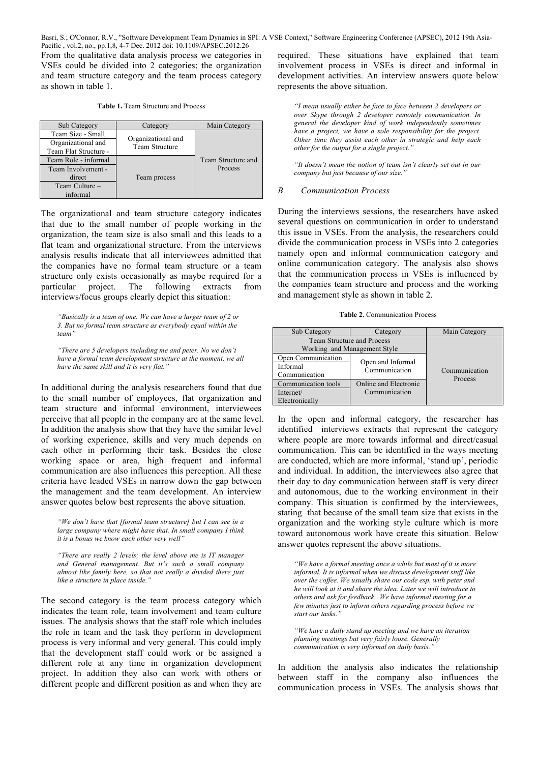Basri, S.; O'Connor, R.V., "Software Development Team Dynamics in SPI: A VSE Context," Software Engineering Conference (APSEC), 2012 19th Asia-

Pacific , vol.2, no., pp.1,8, 4-7 Dec. 2012 doi: 10.1109/APSEC.2012.26 From the qualitative data analysis process we categories in VSEs could be divided into 2 categories; the organization and team structure category and the team process category as shown in table 1.

**Table 1.** Team Structure and Process

| Sub Category                                | Category           | Main Category                 |  |
|---------------------------------------------|--------------------|-------------------------------|--|
| Team Size - Small                           | Organizational and |                               |  |
| Organizational and<br>Team Flat Structure - | Team Structure     | Team Structure and<br>Process |  |
| Team Role - informal                        |                    |                               |  |
| Team Involvement -<br>direct                | Team process       |                               |  |
| Team Culture -<br>informal                  |                    |                               |  |

The organizational and team structure category indicates that due to the small number of people working in the organization, the team size is also small and this leads to a flat team and organizational structure. From the interviews analysis results indicate that all interviewees admitted that the companies have no formal team structure or a team structure only exists occasionally as maybe required for a particular project. The following extracts from interviews/focus groups clearly depict this situation:

*"Basically is a team of one. We can have a larger team of 2 or 3. But no formal team structure as everybody equal within the team"*

*"There are 5 developers including me and peter. No we don't have a formal team development structure at the moment, we all have the same skill and it is very flat."*

In additional during the analysis researchers found that due to the small number of employees, flat organization and team structure and informal environment, interviewees perceive that all people in the company are at the same level. In addition the analysis show that they have the similar level of working experience, skills and very much depends on each other in performing their task. Besides the close working space or area, high frequent and informal communication are also influences this perception. All these criteria have leaded VSEs in narrow down the gap between the management and the team development. An interview answer quotes below best represents the above situation.

*"We don't have that [formal team structure] but I can see in a large company where might have that. In small company I think it is a bonus we know each other very well"*

*"There are really 2 levels; the level above me is IT manager and General management. But it's such a small company almost like family here, so that not really a divided there just like a structure in place inside."*

The second category is the team process category which indicates the team role, team involvement and team culture issues. The analysis shows that the staff role which includes the role in team and the task they perform in development process is very informal and very general. This could imply that the development staff could work or be assigned a different role at any time in organization development project. In addition they also can work with others or different people and different position as and when they are

required. These situations have explained that team involvement process in VSEs is direct and informal in development activities. An interview answers quote below represents the above situation.

*"I mean usually either be face to face between 2 developers or over Skype through 2 developer remotely communication. In general the developer kind of work independently sometimes have a project, we have a sole responsibility for the project. Other time they assist each other in strategic and help each other for the output for a single project."*

*"It doesn't mean the notion of team isn't clearly set out in our company but just because of our size."*

## *B. Communication Process*

During the interviews sessions, the researchers have asked several questions on communication in order to understand this issue in VSEs. From the analysis, the researchers could divide the communication process in VSEs into 2 categories namely open and informal communication category and online communication category. The analysis also shows that the communication process in VSEs is influenced by the companies team structure and process and the working and management style as shown in table 2.

#### **Table 2.** Communication Process

| Sub Category                      | Category                           | Main Category            |
|-----------------------------------|------------------------------------|--------------------------|
| <b>Team Structure and Process</b> |                                    |                          |
| Working and Management Style      |                                    |                          |
| Open Communication                |                                    | Communication<br>Process |
| Informal                          | Open and Informal<br>Communication |                          |
| Communication                     |                                    |                          |
| Communication tools               | Online and Electronic              |                          |
| Internet/                         | Communication                      |                          |
| Electronically                    |                                    |                          |

In the open and informal category, the researcher has identified interviews extracts that represent the category where people are more towards informal and direct/casual communication. This can be identified in the ways meeting are conducted, which are more informal, 'stand up', periodic and individual. In addition, the interviewees also agree that their day to day communication between staff is very direct and autonomous, due to the working environment in their company. This situation is confirmed by the interviewees, stating that because of the small team size that exists in the organization and the working style culture which is more toward autonomous work have create this situation. Below answer quotes represent the above situations.

*"We have a formal meeting once a while but most of it is more informal. It is informal when we discuss development stuff like over the coffee. We usually share our code esp. with peter and he will look at it and share the idea. Later we will introduce to others and ask for feedback. We have informal meeting for a few minutes just to inform others regarding process before we start our tasks."*

*"We have a daily stand up meeting and we have an iteration planning meetings but very fairly loose. Generally communication is very informal on daily basis."*

In addition the analysis also indicates the relationship between staff in the company also influences the communication process in VSEs. The analysis shows that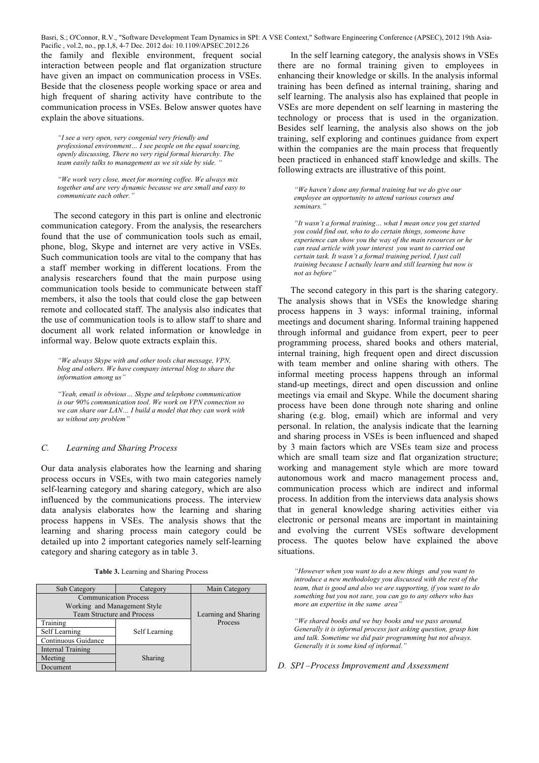Basri, S.; O'Connor, R.V., "Software Development Team Dynamics in SPI: A VSE Context," Software Engineering Conference (APSEC), 2012 19th Asia-

Pacific , vol.2, no., pp.1,8, 4-7 Dec. 2012 doi: 10.1109/APSEC.2012.26 the family and flexible environment, frequent social interaction between people and flat organization structure have given an impact on communication process in VSEs. Beside that the closeness people working space or area and high frequent of sharing activity have contribute to the communication process in VSEs. Below answer quotes have explain the above situations.

*"I see a very open, very congenial very friendly and professional environment… I see people on the equal sourcing, openly discussing, There no very rigid formal hierarchy. The team easily talks to management as we sit side by side. "*

*"We work very close, meet for morning coffee. We always mix together and are very dynamic because we are small and easy to communicate each other."*

The second category in this part is online and electronic communication category. From the analysis, the researchers found that the use of communication tools such as email, phone, blog, Skype and internet are very active in VSEs. Such communication tools are vital to the company that has a staff member working in different locations. From the analysis researchers found that the main purpose using communication tools beside to communicate between staff members, it also the tools that could close the gap between remote and collocated staff. The analysis also indicates that the use of communication tools is to allow staff to share and document all work related information or knowledge in informal way. Below quote extracts explain this.

*"We always Skype with and other tools chat message, VPN, blog and others. We have company internal blog to share the information among us"*

*"Yeah, email is obvious… Skype and telephone communication is our 90% communication tool. We work on VPN connection so we can share our LAN… I build a model that they can work with us without any problem"*

## *C. Learning and Sharing Process*

Our data analysis elaborates how the learning and sharing process occurs in VSEs, with two main categories namely self-learning category and sharing category, which are also influenced by the communications process. The interview data analysis elaborates how the learning and sharing process happens in VSEs. The analysis shows that the learning and sharing process main category could be detailed up into 2 important categories namely self-learning category and sharing category as in table 3.

|  | <b>Table 3.</b> Learning and Sharing Process |  |  |  |
|--|----------------------------------------------|--|--|--|
|--|----------------------------------------------|--|--|--|

| Sub Category                      | Category             | Main Category |
|-----------------------------------|----------------------|---------------|
| <b>Communication Process</b>      |                      |               |
| Working and Management Style      |                      |               |
| <b>Team Structure and Process</b> | Learning and Sharing |               |
| Training                          |                      | Process       |
| Self Learning                     | Self Learning        |               |
| Continuous Guidance               |                      |               |
| Internal Training                 |                      |               |
| Meeting                           | Sharing              |               |
| Document                          |                      |               |

In the self learning category, the analysis shows in VSEs there are no formal training given to employees in enhancing their knowledge or skills. In the analysis informal training has been defined as internal training, sharing and self learning. The analysis also has explained that people in VSEs are more dependent on self learning in mastering the technology or process that is used in the organization. Besides self learning, the analysis also shows on the job training, self exploring and continues guidance from expert within the companies are the main process that frequently been practiced in enhanced staff knowledge and skills. The following extracts are illustrative of this point.

*"We haven't done any formal training but we do give our employee an opportunity to attend various courses and seminars."*

*"It wasn't a formal training… what I mean once you get started you could find out, who to do certain things, someone have experience can show you the way of the main resources or he can read article with your interest you want to carried out certain task. It wasn't a formal training period, I just call training because I actually learn and still learning but now is not as before"*

The second category in this part is the sharing category. The analysis shows that in VSEs the knowledge sharing process happens in 3 ways: informal training, informal meetings and document sharing. Informal training happened through informal and guidance from expert, peer to peer programming process, shared books and others material, internal training, high frequent open and direct discussion with team member and online sharing with others. The informal meeting process happens through an informal stand-up meetings, direct and open discussion and online meetings via email and Skype. While the document sharing process have been done through note sharing and online sharing (e.g. blog, email) which are informal and very personal. In relation, the analysis indicate that the learning and sharing process in VSEs is been influenced and shaped by 3 main factors which are VSEs team size and process which are small team size and flat organization structure; working and management style which are more toward autonomous work and macro management process and, communication process which are indirect and informal process. In addition from the interviews data analysis shows that in general knowledge sharing activities either via electronic or personal means are important in maintaining and evolving the current VSEs software development process. The quotes below have explained the above situations.

*"However when you want to do a new things and you want to introduce a new methodology you discussed with the rest of the team, that is good and also we are supporting, if you want to do something but you not sure, you can go to any others who has more an expertise in the same area"*

*"We shared books and we buy books and we pass around. Generally it is informal process just asking question, grasp him and talk. Sometime we did pair programming but not always. Generally it is some kind of informal."*

*D. SPI –Process Improvement and Assessment*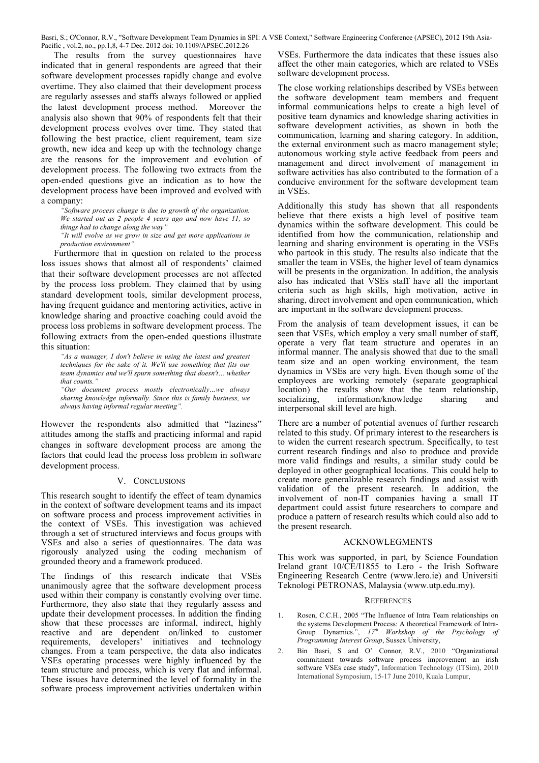The results from the survey questionnaires have indicated that in general respondents are agreed that their software development processes rapidly change and evolve overtime. They also claimed that their development process are regularly assesses and staffs always followed or applied the latest development process method. Moreover the analysis also shown that 90% of respondents felt that their development process evolves over time. They stated that following the best practice, client requirement, team size growth, new idea and keep up with the technology change are the reasons for the improvement and evolution of development process. The following two extracts from the open-ended questions give an indication as to how the development process have been improved and evolved with a company:

*"Software process change is due to growth of the organization. We started out as 2 people 4 years ago and now have 11, so things had to change along the way" "It will evolve as we grow in size and get more applications in production environment"*

Furthermore that in question on related to the process loss issues shows that almost all of respondents' claimed that their software development processes are not affected by the process loss problem. They claimed that by using standard development tools, similar development process, having frequent guidance and mentoring activities, active in knowledge sharing and proactive coaching could avoid the process loss problems in software development process. The following extracts from the open-ended questions illustrate this situation:

*"As a manager, I don't believe in using the latest and greatest techniques for the sake of it. We'll use something that fits our team dynamics and we'll spurn something that doesn't… whether that counts."*

*"Our document process mostly electronically…we always sharing knowledge informally. Since this is family business, we always having informal regular meeting".*

However the respondents also admitted that "laziness" attitudes among the staffs and practicing informal and rapid changes in software development process are among the factors that could lead the process loss problem in software development process.

## V. CONCLUSIONS

This research sought to identify the effect of team dynamics in the context of software development teams and its impact on software process and process improvement activities in the context of VSEs. This investigation was achieved through a set of structured interviews and focus groups with VSEs and also a series of questionnaires. The data was rigorously analyzed using the coding mechanism of grounded theory and a framework produced.

The findings of this research indicate that VSEs unanimously agree that the software development process used within their company is constantly evolving over time. Furthermore, they also state that they regularly assess and update their development processes. In addition the finding show that these processes are informal, indirect, highly reactive and are dependent on/linked to customer requirements, developers' initiatives and technology changes. From a team perspective, the data also indicates VSEs operating processes were highly influenced by the team structure and process, which is very flat and informal. These issues have determined the level of formality in the software process improvement activities undertaken within

VSEs. Furthermore the data indicates that these issues also affect the other main categories, which are related to VSEs software development process.

The close working relationships described by VSEs between the software development team members and frequent informal communications helps to create a high level of positive team dynamics and knowledge sharing activities in software development activities, as shown in both the communication, learning and sharing category. In addition, the external environment such as macro management style; autonomous working style active feedback from peers and management and direct involvement of management in software activities has also contributed to the formation of a conducive environment for the software development team in VSEs.

Additionally this study has shown that all respondents believe that there exists a high level of positive team dynamics within the software development. This could be identified from how the communication, relationship and learning and sharing environment is operating in the VSEs who partook in this study. The results also indicate that the smaller the team in VSEs, the higher level of team dynamics will be presents in the organization. In addition, the analysis also has indicated that VSEs staff have all the important criteria such as high skills, high motivation, active in sharing, direct involvement and open communication, which are important in the software development process.

From the analysis of team development issues, it can be seen that VSEs, which employ a very small number of staff, operate a very flat team structure and operates in an informal manner. The analysis showed that due to the small team size and an open working environment, the team dynamics in VSEs are very high. Even though some of the employees are working remotely (separate geographical location) the results show that the team relationship, socializing, information/knowledge sharing and interpersonal skill level are high.

There are a number of potential avenues of further research related to this study. Of primary interest to the researchers is to widen the current research spectrum. Specifically, to test current research findings and also to produce and provide more valid findings and results, a similar study could be deployed in other geographical locations. This could help to create more generalizable research findings and assist with validation of the present research. In addition, the involvement of non-IT companies having a small IT department could assist future researchers to compare and produce a pattern of research results which could also add to the present research.

# ACKNOWLEGMENTS

This work was supported, in part, by Science Foundation Ireland grant 10/CE/I1855 to Lero - the Irish Software Engineering Research Centre (www.lero.ie) and Universiti Teknologi PETRONAS, Malaysia (www.utp.edu.my).

#### **REFERENCES**

- 1. Rosen, C.C.H., 2005 "The Influence of Intra Team relationships on the systems Development Process: A theoretical Framework of Intra-Group Dynamics.", *17th Workshop of the Psychology of Programming Interest Group*, Sussex University,
- 2. Bin Basri, S and O' Connor, R.V., 2010 "Organizational commitment towards software process improvement an irish software VSEs case study", Information Technology (ITSim), 2010 International Symposium, 15-17 June 2010, Kuala Lumpur,